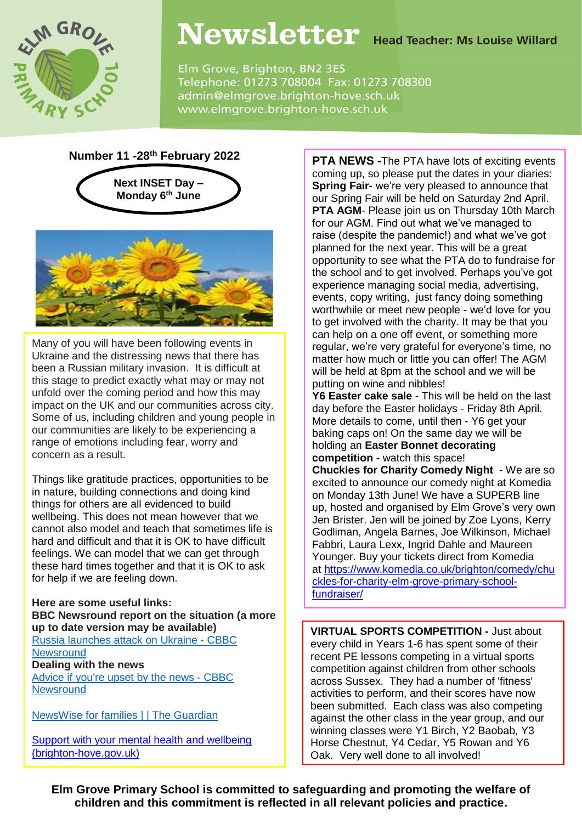

## Newsletter Head Teacher: Ms Louise Willard

Elm Grove, Brighton, BN2 3ES Telephone: 01273 708004 Fax: 01273 708300 admin@elmgrove.brighton-hove.sch.uk www.elmgrove.brighton-hove.sch.uk

#### **Number 11 -28th February 2022**





Many of you will have been following events in Ukraine and the distressing news that there has been a Russian military invasion. It is difficult at this stage to predict exactly what may or may not unfold over the coming period and how this may impact on the UK and our communities across city. Some of us, including children and young people in our communities are likely to be experiencing a range of emotions including fear, worry and concern as a result.

Things like gratitude practices, opportunities to be in nature, building connections and doing kind things for others are all evidenced to build wellbeing. This does not mean however that we cannot also model and teach that sometimes life is hard and difficult and that it is OK to have difficult feelings. We can model that we can get through these hard times together and that it is OK to ask for help if we are feeling down.

**Here are some useful links: BBC Newsround report on the situation (a more up to date version may be available)** Russia [launches](https://www.bbc.co.uk/newsround/60417806) attack on Ukraine - CBBC **[Newsround](https://www.bbc.co.uk/newsround/60417806) Dealing with the news** [Advice](https://www.bbc.co.uk/newsround/13865002) if you're upset by the news - CBBC **[Newsround](https://www.bbc.co.uk/newsround/13865002)** 

[NewsWise](https://www.theguardian.com/newswise/2018/sep/17/tips-for-parents) for families | | The Guardian

Support with your mental health and wellbeing [\(brighton-hove.gov.uk\)](https://www.brighton-hove.gov.uk/adult-social-care/stay-healthy-and-well/support-your-mental-health-and-wellbeing)

**PTA NEWS -**The PTA have lots of exciting events coming up, so please put the dates in your diaries: **Spring Fair-** we're very pleased to announce that our Spring Fair will be held on Saturday 2nd April. **PTA AGM**- Please join us on Thursday 10th March for our AGM. Find out what we've managed to raise (despite the pandemic!) and what we've got planned for the next year. This will be a great opportunity to see what the PTA do to fundraise for the school and to get involved. Perhaps you've got experience managing social media, advertising, events, copy writing, just fancy doing something worthwhile or meet new people - we'd love for you to get involved with the charity. It may be that you can help on a one off event, or something more regular, we're very grateful for everyone's time, no matter how much or little you can offer! The AGM will be held at 8pm at the school and we will be putting on wine and nibbles!

**Y6 Easter cake sale** - This will be held on the last day before the Easter holidays - Friday 8th April. More details to come, until then - Y6 get your baking caps on! On the same day we will be holding an **Easter Bonnet decorating competition -** watch this space!

**Chuckles for Charity Comedy Night** - We are so excited to announce our comedy night at Komedia on Monday 13th June! We have a SUPERB line up, hosted and organised by Elm Grove's very own Jen Brister. Jen will be joined by Zoe Lyons, Kerry Godliman, Angela Barnes, Joe Wilkinson, Michael Fabbri, Laura Lexx, Ingrid Dahle and Maureen Younger. Buy your tickets direct from Komedia at [https://www.komedia.co.uk/brighton/comedy/chu](https://www.komedia.co.uk/brighton/comedy/chuckles-for-charity-elm-grove-primary-school-fundraiser/) [ckles-for-charity-elm-grove-primary-school](https://www.komedia.co.uk/brighton/comedy/chuckles-for-charity-elm-grove-primary-school-fundraiser/)[fundraiser/](https://www.komedia.co.uk/brighton/comedy/chuckles-for-charity-elm-grove-primary-school-fundraiser/)

**VIRTUAL SPORTS COMPETITION -** Just about every child in Years 1-6 has spent some of their recent PE lessons competing in a virtual sports competition against children from other schools across Sussex. They had a number of 'fitness' activities to perform, and their scores have now been submitted. Each class was also competing against the other class in the year group, and our winning classes were Y1 Birch, Y2 Baobab, Y3 Horse Chestnut, Y4 Cedar, Y5 Rowan and Y6 Oak. Very well done to all involved!

**Elm Grove Primary School is committed to safeguarding and promoting the welfare of children and this commitment is reflected in all relevant policies and practice.**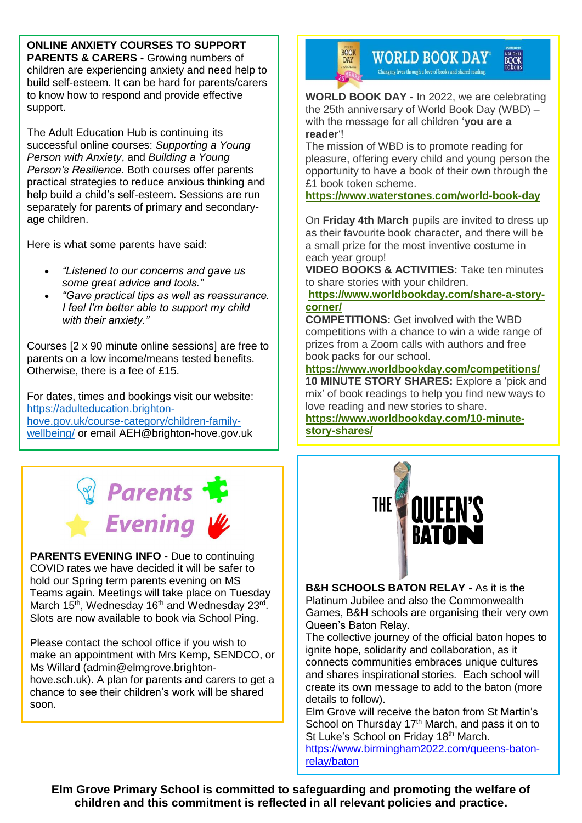**ONLINE ANXIETY COURSES TO SUPPORT PARENTS & CARERS -** Growing numbers of children are experiencing anxiety and need help to build self-esteem. It can be hard for parents/carers to know how to respond and provide effective support.

The Adult Education Hub is continuing its successful online courses: *Supporting a Young Person with Anxiety*, and *Building a Young Person's Resilience*. Both courses offer parents practical strategies to reduce anxious thinking and help build a child's self-esteem. Sessions are run separately for parents of primary and secondaryage children.

Here is what some parents have said:

- *"Listened to our concerns and gave us some great advice and tools."*
- *"Gave practical tips as well as reassurance. I feel I'm better able to support my child with their anxiety."*

Courses [2 x 90 minute online sessions] are free to parents on a low income/means tested benefits. Otherwise, there is a fee of £15.

For dates, times and bookings visit our website: [https://adulteducation.brighton](https://adulteducation.brighton-hove.gov.uk/course-category/children-family-wellbeing/)[hove.gov.uk/course-category/children-family](https://adulteducation.brighton-hove.gov.uk/course-category/children-family-wellbeing/)[wellbeing/](https://adulteducation.brighton-hove.gov.uk/course-category/children-family-wellbeing/) or email AEH@brighton-hove.gov.uk

# **Parents** Evening W

**PARENTS EVENING INFO -** Due to continuing COVID rates we have decided it will be safer to hold our Spring term parents evening on MS Teams again. Meetings will take place on Tuesday March 15<sup>th</sup>, Wednesday 16<sup>th</sup> and Wednesday 23<sup>rd</sup>. Slots are now available to book via School Ping.

Please contact the school office if you wish to make an appointment with Mrs Kemp, SENDCO, or Ms Willard (admin@elmgrove.brightonhove.sch.uk). A plan for parents and carers to get a chance to see their children's work will be shared soon.



**WORLD BOOK DAY®** Changing lives through a love of books and shared reading.

NATIONAL<br>BOOK<br>tokens

**WORLD BOOK DAY -** In 2022, we are celebrating the 25th anniversary of World Book Day (WBD) – with the message for all children '**you are a reader**'!

The mission of WBD is to promote reading for pleasure, offering every child and young person the opportunity to have a book of their own through the £1 book token scheme.

**<https://www.waterstones.com/world-book-day>**

On **Friday 4th March** pupils are invited to dress up as their favourite book character, and there will be a small prize for the most inventive costume in each year group!

**VIDEO BOOKS & ACTIVITIES:** Take ten minutes to share stories with your children.

**[https://www.worldbookday.com/share-a-story](https://www.worldbookday.com/share-a-story-corner/)[corner/](https://www.worldbookday.com/share-a-story-corner/)**

**COMPETITIONS:** Get involved with the WBD competitions with a chance to win a wide range of prizes from a Zoom calls with authors and free book packs for our school.

**<https://www.worldbookday.com/competitions/> 10 MINUTE STORY SHARES:** Explore a 'pick and mix' of book readings to help you find new ways to love reading and new stories to share.

**[https://www.worldbookday.com/10-minute](https://www.worldbookday.com/10-minute-story-shares/)[story-shares/](https://www.worldbookday.com/10-minute-story-shares/)**



**B&H SCHOOLS BATON RELAY -** As it is the Platinum Jubilee and also the Commonwealth Games, B&H schools are organising their very own Queen's Baton Relay.

The collective journey of the official baton hopes to ignite hope, solidarity and collaboration, as it connects communities embraces unique cultures and shares inspirational stories. Each school will create its own message to add to the baton (more details to follow).

Elm Grove will receive the baton from St Martin's School on Thursday 17<sup>th</sup> March, and pass it on to St Luke's School on Friday 18<sup>th</sup> March. [https://www.birmingham2022.com/queens-baton-](https://www.birmingham2022.com/queens-baton-relay/baton)

[relay/baton](https://www.birmingham2022.com/queens-baton-relay/baton)

**Elm Grove Primary School is committed to safeguarding and promoting the welfare of children and this commitment is reflected in all relevant policies and practice.**

1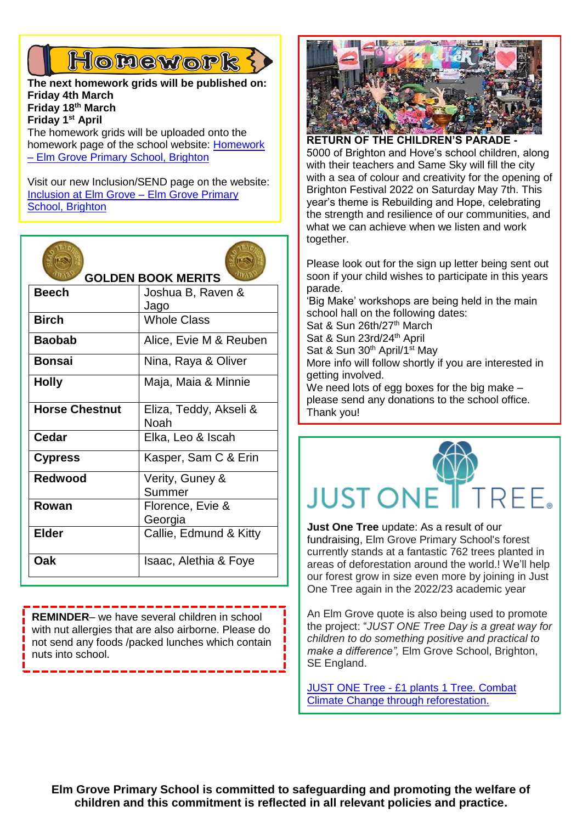### Honework?

**The next homework grids will be published on: Friday 4th March Friday 18th March Friday 1st April** The homework grids will be uploaded onto the

homework page of the school website: [Homework](https://www.elmgrove.brighton-hove.sch.uk/year-groups/homework/)  – [Elm Grove Primary School, Brighton](https://www.elmgrove.brighton-hove.sch.uk/year-groups/homework/)

Visit our new Inclusion/SEND page on the website: [Inclusion at Elm Grove –](https://www.elmgrove.brighton-hove.sch.uk/inclusion-at-elm-grove/) Elm Grove Primary [School, Brighton](https://www.elmgrove.brighton-hove.sch.uk/inclusion-at-elm-grove/)

| <b>GOLDEN BOOK MERITS</b> |                                |
|---------------------------|--------------------------------|
| <b>Beech</b>              | Joshua B, Raven &<br>Jago      |
| <b>Birch</b>              | <b>Whole Class</b>             |
| <b>Baobab</b>             | Alice, Evie M & Reuben         |
| <b>Bonsai</b>             | Nina, Raya & Oliver            |
| <b>Holly</b>              | Maja, Maia & Minnie            |
| <b>Horse Chestnut</b>     | Eliza, Teddy, Akseli &<br>Noah |
| Cedar                     | Elka, Leo & Iscah              |
| <b>Cypress</b>            | Kasper, Sam C & Erin           |
| <b>Redwood</b>            | Verity, Guney &<br>Summer      |
| Rowan                     | Florence, Evie &<br>Georgia    |
| <b>Elder</b>              | Callie, Edmund & Kitty         |
| Oak                       | Isaac, Alethia & Foye          |

**REMINDER**– we have several children in school with nut allergies that are also airborne. Please do not send any foods /packed lunches which contain nuts into school.



**RETURN OF THE CHILDREN'S PARADE -** 5000 of Brighton and Hove's school children, along with their teachers and Same Sky will fill the city with a sea of colour and creativity for the opening of Brighton Festival 2022 on Saturday May 7th. This year's theme is Rebuilding and Hope, celebrating the strength and resilience of our communities, and what we can achieve when we listen and work together.

Please look out for the sign up letter being sent out soon if your child wishes to participate in this years parade.

'Big Make' workshops are being held in the main school hall on the following dates:

Sat & Sun 26th/27<sup>th</sup> March Sat & Sun 23rd/24<sup>th</sup> April Sat & Sun 30<sup>th</sup> April/1<sup>st</sup> May More info will follow shortly if you are interested in getting involved.

We need lots of egg boxes for the big make – please send any donations to the school office. Thank you!



**Just One Tree** update: As a result of our fundraising, Elm Grove Primary School's forest currently stands at a fantastic 762 trees planted in areas of deforestation around the world.! We'll help our forest grow in size even more by joining in Just One Tree again in the 2022/23 academic year

An Elm Grove quote is also being used to promote the project: "*JUST ONE Tree Day is a great way for children to do something positive and practical to make a difference",* Elm Grove School, Brighton, SE England.

JUST ONE Tree - [£1 plants 1 Tree. Combat](https://www.justonetree.life/)  [Climate Change through reforestation.](https://www.justonetree.life/)

**Elm Grove Primary School is committed to safeguarding and promoting the welfare of children and this commitment is reflected in all relevant policies and practice.**